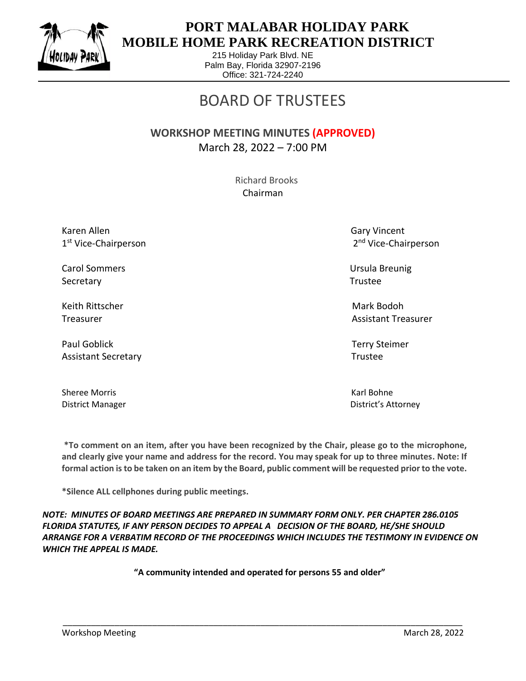

 $\overline{a}$ 

## **PORT MALABAR HOLIDAY PARK MOBILE HOME PARK RECREATION DISTRICT**

215 Holiday Park Blvd. NE Palm Bay, Florida 32907-2196 Office: 321-724-2240

## BOARD OF TRUSTEES

## **WORKSHOP MEETING MINUTES (APPROVED)** March 28, 2022 – 7:00 PM

 Richard Brooks Chairman

Karen Allen Gary Vincent 1 st Vice-Chairperson 2

Carol Sommers Ursula Breunig Secretary **Trustee** 

Keith Rittscher Mark Bodoh (Mark Bodoh Mark Bodoh Mark Bodoh Mark Bodoh Mark Bodoh Mark Bodoh Mark Bodoh Mark

Paul Goblick Terry Steimer Assistant Secretary **Trustee** 

Sheree Morris **Karl Bohne** Karl Bohne

2<sup>nd</sup> Vice-Chairperson

Treasurer Assistant Treasurer Assistant Treasurer Assistant Treasurer Assistant Treasurer

District Manager District's Attorney

**\*To comment on an item, after you have been recognized by the Chair, please go to the microphone, and clearly give your name and address for the record. You may speak for up to three minutes. Note: If formal action is to be taken on an item by the Board, public comment will be requested prior to the vote.**

**\*Silence ALL cellphones during public meetings.**

*NOTE: MINUTES OF BOARD MEETINGS ARE PREPARED IN SUMMARY FORM ONLY. PER CHAPTER 286.0105 FLORIDA STATUTES, IF ANY PERSON DECIDES TO APPEAL A DECISION OF THE BOARD, HE/SHE SHOULD ARRANGE FOR A VERBATIM RECORD OF THE PROCEEDINGS WHICH INCLUDES THE TESTIMONY IN EVIDENCE ON WHICH THE APPEAL IS MADE.*

**"A community intended and operated for persons 55 and older"**

\_\_\_\_\_\_\_\_\_\_\_\_\_\_\_\_\_\_\_\_\_\_\_\_\_\_\_\_\_\_\_\_\_\_\_\_\_\_\_\_\_\_\_\_\_\_\_\_\_\_\_\_\_\_\_\_\_\_\_\_\_\_\_\_\_\_\_\_\_\_\_\_\_\_\_\_\_\_\_\_\_\_\_\_\_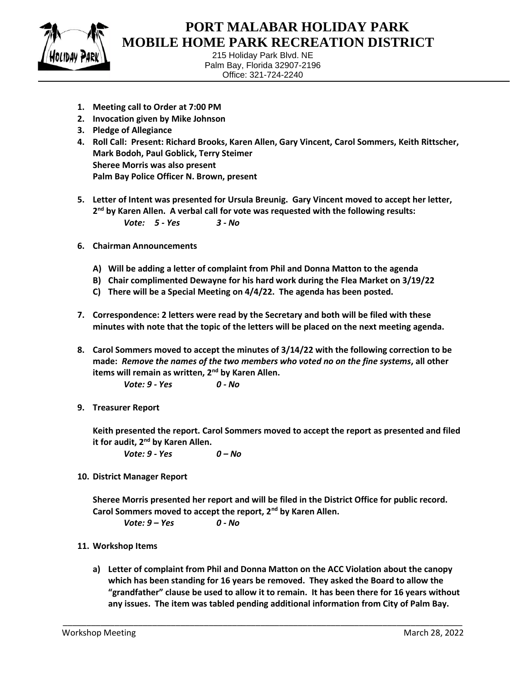

 $\overline{a}$ 

## **PORT MALABAR HOLIDAY PARK MOBILE HOME PARK RECREATION DISTRICT**

215 Holiday Park Blvd. NE Palm Bay, Florida 32907-2196 Office: 321-724-2240

- **1. Meeting call to Order at 7:00 PM**
- **2. Invocation given by Mike Johnson**
- **3. Pledge of Allegiance**
- **4. Roll Call: Present: Richard Brooks, Karen Allen, Gary Vincent, Carol Sommers, Keith Rittscher, Mark Bodoh, Paul Goblick, Terry Steimer Sheree Morris was also present Palm Bay Police Officer N. Brown, present**
- **5. Letter of Intent was presented for Ursula Breunig. Gary Vincent moved to accept her letter, 2 nd by Karen Allen. A verbal call for vote was requested with the following results:** *Vote: 5 - Yes 3 - No*
- **6. Chairman Announcements**
	- **A) Will be adding a letter of complaint from Phil and Donna Matton to the agenda**
	- **B) Chair complimented Dewayne for his hard work during the Flea Market on 3/19/22**
	- **C) There will be a Special Meeting on 4/4/22. The agenda has been posted.**
- **7. Correspondence: 2 letters were read by the Secretary and both will be filed with these minutes with note that the topic of the letters will be placed on the next meeting agenda.**
- **8. Carol Sommers moved to accept the minutes of 3/14/22 with the following correction to be made:** *Remove the names of the two members who voted no on the fine systems***, all other items will remain as written, 2nd by Karen Allen.**
	- *Vote: 9 - Yes 0 - No*
- **9. Treasurer Report**

**Keith presented the report. Carol Sommers moved to accept the report as presented and filed it for audit, 2nd by Karen Allen.**

*Vote: 9 - Yes 0 – No*

**10. District Manager Report**

**Sheree Morris presented her report and will be filed in the District Office for public record. Carol Sommers moved to accept the report, 2nd by Karen Allen.**

*Vote: 9 – Yes 0 - No*

- **11. Workshop Items**
	- **a) Letter of complaint from Phil and Donna Matton on the ACC Violation about the canopy which has been standing for 16 years be removed. They asked the Board to allow the "grandfather" clause be used to allow it to remain. It has been there for 16 years without any issues. The item was tabled pending additional information from City of Palm Bay.**

\_\_\_\_\_\_\_\_\_\_\_\_\_\_\_\_\_\_\_\_\_\_\_\_\_\_\_\_\_\_\_\_\_\_\_\_\_\_\_\_\_\_\_\_\_\_\_\_\_\_\_\_\_\_\_\_\_\_\_\_\_\_\_\_\_\_\_\_\_\_\_\_\_\_\_\_\_\_\_\_\_\_\_\_\_